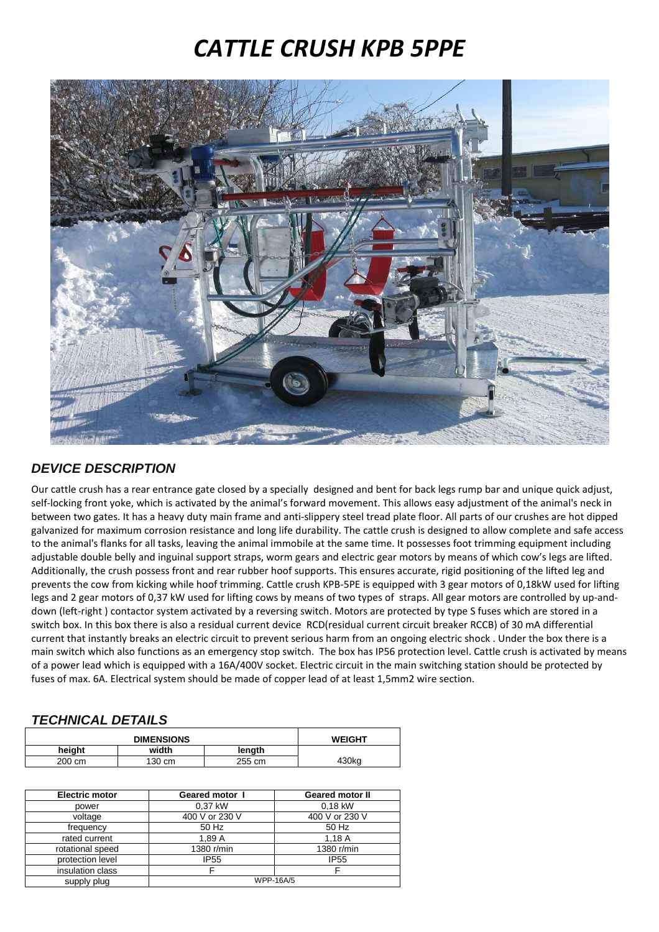## *CATTLE CRUSH KPB 5PPE*



## **DEVICE DESCRIPTION**

Our cattle crush has a rear entrance gate closed by a specially designed and bent for back legs rump bar and unique quick adjust, self-locking front yoke, which is activated by the animal's forward movement. This allows easy adjustment of the animal's neck in between two gates. It has a heavy duty main frame and anti-slippery steel tread plate floor. All parts of our crushes are hot dipped galvanized for maximum corrosion resistance and long life durability. The cattle crush is designed to allow complete and safe access to the animal's flanks for all tasks, leaving the animal immobile at the same time. It possesses foot trimming equipment including adjustable double belly and inguinal support straps, worm gears and electric gear motors by means of which cow's legs are lifted. Additionally, the crush possess front and rear rubber hoof supports. This ensures accurate, rigid positioning of the lifted leg and prevents the cow from kicking while hoof trimming. Cattle crush KPB-5PE is equipped with 3 gear motors of 0,18kW used for lifting legs and 2 gear motors of 0,37 kW used for lifting cows by means of two types of straps. All gear motors are controlled by up-anddown (left-right ) contactor system activated by a reversing switch. Motors are protected by type S fuses which are stored in a switch box. In this box there is also a residual current device RCD(residual current circuit breaker RCCB) of 30 mA differential current that instantly breaks an electric circuit to prevent serious harm from an ongoing electric shock . Under the box there is a main switch which also functions as an emergency stop switch. The box has IP56 protection level. Cattle crush is activated by means of a power lead which is equipped with a 16A/400V socket. Electric circuit in the main switching station should be protected by fuses of max. 6A. Electrical system should be made of copper lead of at least 1,5mm2 wire section.

## **TECHNICAL DETAILS**

| <b>DIMENSIONS</b> |        |        | <b>WEIGHT</b> |
|-------------------|--------|--------|---------------|
| heiaht            | width  | lenath |               |
| 200 cm            | 130 cm | 255 cm | 430kg         |

| <b>Electric motor</b> | <b>Geared motor I</b> | <b>Geared motor II</b> |
|-----------------------|-----------------------|------------------------|
| power                 | 0.37 kW               | $0.18$ kW              |
| voltage               | 400 V or 230 V        | 400 V or 230 V         |
| frequency             | 50 Hz                 | 50 Hz                  |
| rated current         | 1.89 A                | 1,18A                  |
| rotational speed      | 1380 r/min            | 1380 r/min             |
| protection level      | <b>IP55</b>           | <b>IP55</b>            |
| insulation class      |                       |                        |
| supply plug           | <b>WPP-16A/5</b>      |                        |